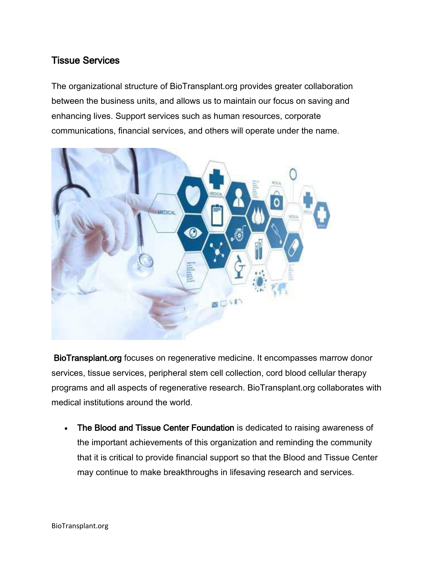### Tissue Services

The organizational structure of BioTransplant.org provides greater collaboration between the business units, and allows us to maintain our focus on saving and enhancing lives. Support services such as human resources, corporate communications, financial services, and others will operate under the name.



BioTransplant.org focuses on regenerative medicine. It encompasses marrow donor services, tissue services, peripheral stem cell collection, cord blood cellular therapy programs and all aspects of regenerative research. BioTransplant.org collaborates with medical institutions around the world.

 The Blood and Tissue Center Foundation is dedicated to raising awareness of the important achievements of this organization and reminding the community that it is critical to provide financial support so that the Blood and Tissue Center may continue to make breakthroughs in lifesaving research and services.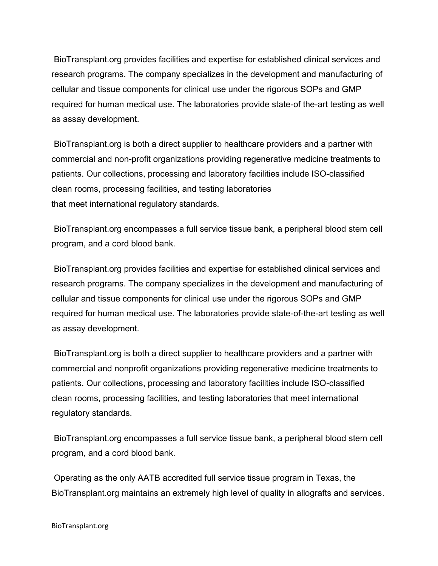BioTransplant.org provides facilities and expertise for established clinical services and research programs. The company specializes in the development and manufacturing of cellular and tissue components for clinical use under the rigorous SOPs and GMP required for human medical use. The laboratories provide state-of the-art testing as well as assay development.

BioTransplant.org is both a direct supplier to healthcare providers and a partner with commercial and non-profit organizations providing regenerative medicine treatments to patients. Our collections, processing and laboratory facilities include ISO-classified clean rooms, processing facilities, and testing laboratories that meet international regulatory standards.

BioTransplant.org encompasses a full service tissue bank, a peripheral blood stem cell program, and a cord blood bank.

BioTransplant.org provides facilities and expertise for established clinical services and research programs. The company specializes in the development and manufacturing of cellular and tissue components for clinical use under the rigorous SOPs and GMP required for human medical use. The laboratories provide state-of-the-art testing as well as assay development.

BioTransplant.org is both a direct supplier to healthcare providers and a partner with commercial and nonprofit organizations providing regenerative medicine treatments to patients. Our collections, processing and laboratory facilities include ISO-classified clean rooms, processing facilities, and testing laboratories that meet international regulatory standards.

BioTransplant.org encompasses a full service tissue bank, a peripheral blood stem cell program, and a cord blood bank.

Operating as the only AATB accredited full service tissue program in Texas, the BioTransplant.org maintains an extremely high level of quality in allografts and services.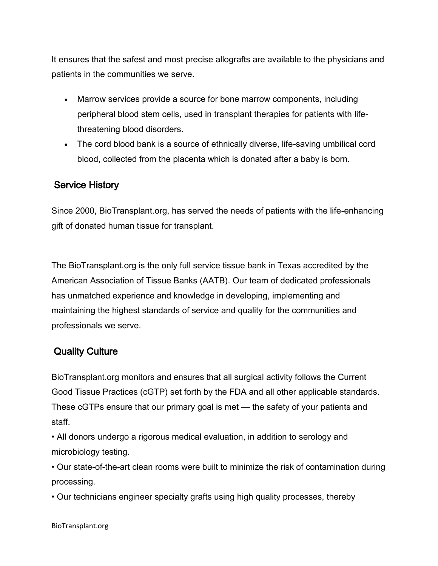It ensures that the safest and most precise allografts are available to the physicians and patients in the communities we serve.

- Marrow services provide a source for bone marrow components, including peripheral blood stem cells, used in transplant therapies for patients with lifethreatening blood disorders.
- The cord blood bank is a source of ethnically diverse, life-saving umbilical cord blood, collected from the placenta which is donated after a baby is born.

### Service History

Since 2000, BioTransplant.org, has served the needs of patients with the life-enhancing gift of donated human tissue for transplant.

The BioTransplant.org is the only full service tissue bank in Texas accredited by the American Association of Tissue Banks (AATB). Our team of dedicated professionals has unmatched experience and knowledge in developing, implementing and maintaining the highest standards of service and quality for the communities and professionals we serve.

# Quality Culture

BioTransplant.org monitors and ensures that all surgical activity follows the Current Good Tissue Practices (cGTP) set forth by the FDA and all other applicable standards. These cGTPs ensure that our primary goal is met — the safety of your patients and staff.

• All donors undergo a rigorous medical evaluation, in addition to serology and microbiology testing.

• Our state-of-the-art clean rooms were built to minimize the risk of contamination during processing.

• Our technicians engineer specialty grafts using high quality processes, thereby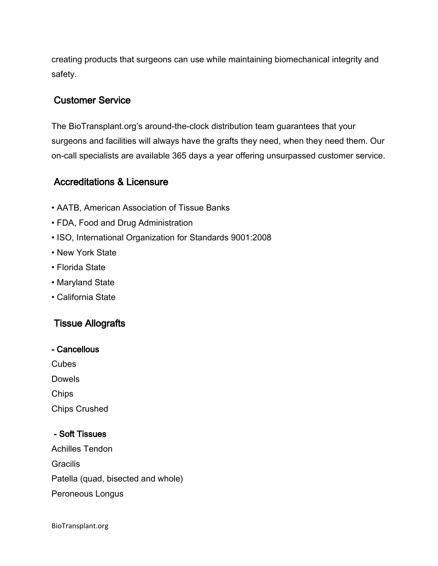creating products that surgeons can use while maintaining biomechanical integrity and safety.

### Customer Service

The BioTransplant.org's around-the-clock distribution team guarantees that your surgeons and facilities will always have the grafts they need, when they need them. Our on-call specialists are available 365 days a year offering unsurpassed customer service.

### Accreditations & Licensure

- AATB, American Association of Tissue Banks
- FDA, Food and Drug Administration
- ISO, International Organization for Standards 9001:2008
- New York State
- Florida State
- Maryland State
- California State

# Tissue Allografts

| - Cancellous |
|--------------|
|              |

**Cubes** 

Dowels

Chips

Chips Crushed

#### - Soft Tissues

Achilles Tendon **Gracilis** Patella (quad, bisected and whole) Peroneous Longus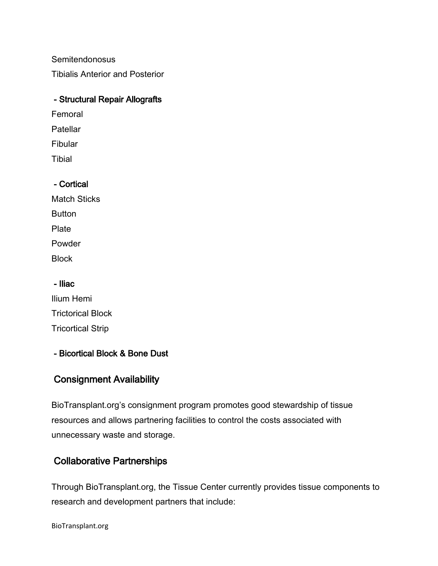Semitendonosus

Tibialis Anterior and Posterior

#### - Structural Repair Allografts

- Femoral
- **Patellar**
- Fibular
- Tibial

### - Cortical

Match Sticks **Button** Plate Powder **Block** 

#### - Iliac

Ilium Hemi Trictorical Block Tricortical Strip

### - Bicortical Block & Bone Dust

# Consignment Availability

BioTransplant.org's consignment program promotes good stewardship of tissue resources and allows partnering facilities to control the costs associated with unnecessary waste and storage.

# Collaborative Partnerships

Through BioTransplant.org, the Tissue Center currently provides tissue components to research and development partners that include:

BioTransplant.org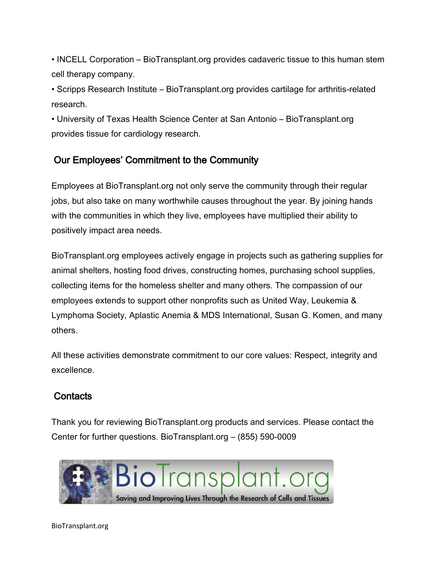• INCELL Corporation – BioTransplant.org provides cadaveric tissue to this human stem cell therapy company.

• Scripps Research Institute – BioTransplant.org provides cartilage for arthritis-related research.

• University of Texas Health Science Center at San Antonio – BioTransplant.org provides tissue for cardiology research.

# Our Employees' Commitment to the Community

Employees at BioTransplant.org not only serve the community through their regular jobs, but also take on many worthwhile causes throughout the year. By joining hands with the communities in which they live, employees have multiplied their ability to positively impact area needs.

BioTransplant.org employees actively engage in projects such as gathering supplies for animal shelters, hosting food drives, constructing homes, purchasing school supplies, collecting items for the homeless shelter and many others. The compassion of our employees extends to support other nonprofits such as United Way, Leukemia & Lymphoma Society, Aplastic Anemia & MDS International, Susan G. Komen, and many others.

All these activities demonstrate commitment to our core values: Respect, integrity and excellence.

### **Contacts**

Thank you for reviewing BioTransplant.org products and services. Please contact the Center for further questions. BioTransplant.org – (855) 590-0009